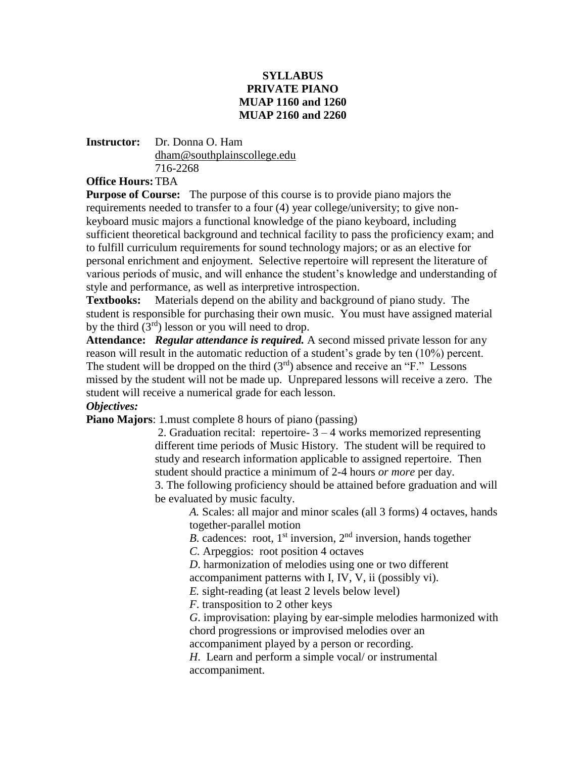## **SYLLABUS PRIVATE PIANO MUAP 1160 and 1260 MUAP 2160 and 2260**

### **Instructor:** Dr. Donna O. Ham [dham@southplainscollege.edu](mailto:dham@southplainscollege.edu) 716-2268

**Office Hours:**TBA

**Purpose of Course:** The purpose of this course is to provide piano majors the requirements needed to transfer to a four (4) year college/university; to give nonkeyboard music majors a functional knowledge of the piano keyboard, including sufficient theoretical background and technical facility to pass the proficiency exam; and to fulfill curriculum requirements for sound technology majors; or as an elective for personal enrichment and enjoyment. Selective repertoire will represent the literature of various periods of music, and will enhance the student's knowledge and understanding of style and performance, as well as interpretive introspection.

**Textbooks:** Materials depend on the ability and background of piano study. The student is responsible for purchasing their own music. You must have assigned material by the third  $(3<sup>rd</sup>)$  lesson or you will need to drop.

**Attendance:** *Regular attendance is required.* A second missed private lesson for any reason will result in the automatic reduction of a student's grade by ten (10%) percent. The student will be dropped on the third  $(3<sup>rd</sup>)$  absence and receive an "F." Lessons missed by the student will not be made up. Unprepared lessons will receive a zero. The student will receive a numerical grade for each lesson.

# *Objectives:*

**Piano Majors**: 1.must complete 8 hours of piano (passing)

2. Graduation recital: repertoire- $3 - 4$  works memorized representing different time periods of Music History. The student will be required to study and research information applicable to assigned repertoire. Then student should practice a minimum of 2-4 hours *or more* per day.

3. The following proficiency should be attained before graduation and will be evaluated by music faculty.

*A.* Scales: all major and minor scales (all 3 forms) 4 octaves, hands together-parallel motion

*B*. cadences: root,  $1<sup>st</sup>$  inversion,  $2<sup>nd</sup>$  inversion, hands together

*C.* Arpeggios: root position 4 octaves

*D*. harmonization of melodies using one or two different accompaniment patterns with I, IV, V, ii (possibly vi).

*E.* sight-reading (at least 2 levels below level)

*F*. transposition to 2 other keys

*G*. improvisation: playing by ear-simple melodies harmonized with chord progressions or improvised melodies over an

accompaniment played by a person or recording.

*H*. Learn and perform a simple vocal/ or instrumental accompaniment.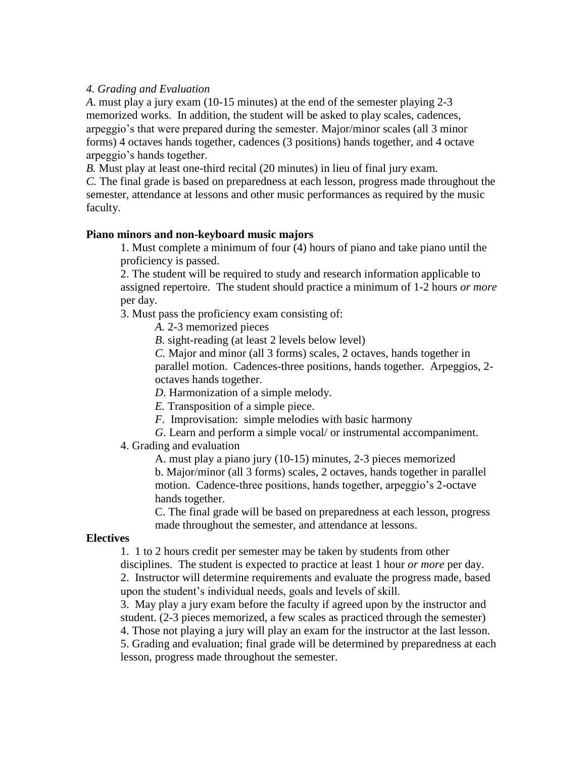### *4. Grading and Evaluation*

*A*. must play a jury exam (10-15 minutes) at the end of the semester playing 2-3 memorized works. In addition, the student will be asked to play scales, cadences, arpeggio's that were prepared during the semester. Major/minor scales (all 3 minor forms) 4 octaves hands together, cadences (3 positions) hands together, and 4 octave arpeggio's hands together.

*B.* Must play at least one-third recital (20 minutes) in lieu of final jury exam.

*C.* The final grade is based on preparedness at each lesson, progress made throughout the semester, attendance at lessons and other music performances as required by the music faculty.

#### **Piano minors and non-keyboard music majors**

1. Must complete a minimum of four (4) hours of piano and take piano until the proficiency is passed.

2. The student will be required to study and research information applicable to assigned repertoire. The student should practice a minimum of 1-2 hours *or more* per day.

3. Must pass the proficiency exam consisting of:

*A.* 2-3 memorized pieces

*B*. sight-reading (at least 2 levels below level)

*C.* Major and minor (all 3 forms) scales, 2 octaves, hands together in parallel motion. Cadences-three positions, hands together. Arpeggios, 2 octaves hands together.

*D*. Harmonization of a simple melody.

*E.* Transposition of a simple piece.

*F*. Improvisation: simple melodies with basic harmony

*G*. Learn and perform a simple vocal/ or instrumental accompaniment.

### 4. Grading and evaluation

A. must play a piano jury (10-15) minutes, 2-3 pieces memorized b. Major/minor (all 3 forms) scales, 2 octaves, hands together in parallel motion. Cadence-three positions, hands together, arpeggio's 2-octave hands together.

C. The final grade will be based on preparedness at each lesson, progress made throughout the semester, and attendance at lessons.

#### **Electives**

1. 1 to 2 hours credit per semester may be taken by students from other

disciplines. The student is expected to practice at least 1 hour *or more* per day. 2. Instructor will determine requirements and evaluate the progress made, based

upon the student's individual needs, goals and levels of skill.

3. May play a jury exam before the faculty if agreed upon by the instructor and student. (2-3 pieces memorized, a few scales as practiced through the semester) 4. Those not playing a jury will play an exam for the instructor at the last lesson.

5. Grading and evaluation; final grade will be determined by preparedness at each lesson, progress made throughout the semester.